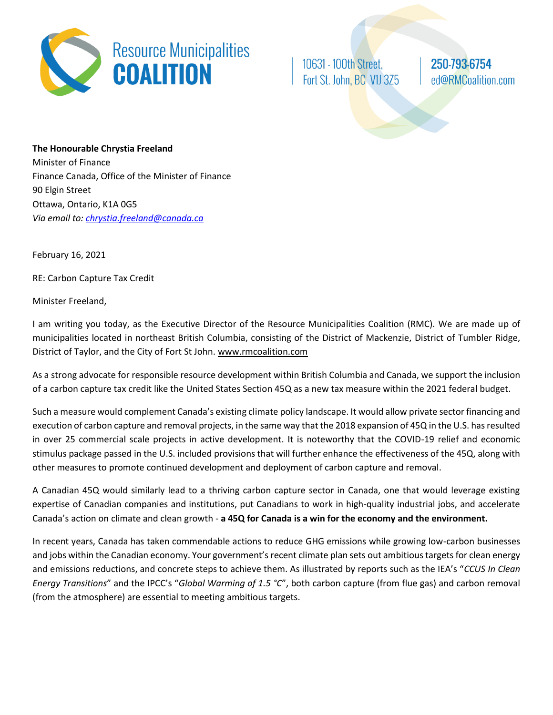

10631 - 100th Street, Fort St. John, BC V1J 3Z5

250-793-6754 ed@RMCoalition.com

**The Honourable Chrystia Freeland** Minister of Finance Finance Canada, Office of the Minister of Finance 90 Elgin Street Ottawa, Ontario, K1A 0G5 *Via email to: [chrystia.freeland@canada.ca](mailto:chrystia.freeland@canada.ca)*

February 16, 2021

RE: Carbon Capture Tax Credit

Minister Freeland,

I am writing you today, as the Executive Director of the Resource Municipalities Coalition (RMC). We are made up of municipalities located in northeast British Columbia, consisting of the District of Mackenzie, District of Tumbler Ridge, District of Taylor, and the City of Fort St John. www.rmcoalition.com

As a strong advocate for responsible resource development within British Columbia and Canada, we support the inclusion of a carbon capture tax credit like the United States Section 45Q as a new tax measure within the 2021 federal budget.

Such a measure would complement Canada's existing climate policy landscape. It would allow private sector financing and execution of carbon capture and removal projects, in the same way that the 2018 expansion of 45Q in the U.S. has resulted in over 25 commercial scale projects in active development. It is noteworthy that the COVID-19 relief and economic stimulus package passed in the U.S. included provisions that will further enhance the effectiveness of the 45Q, along with other measures to promote continued development and deployment of carbon capture and removal.

A Canadian 45Q would similarly lead to a thriving carbon capture sector in Canada, one that would leverage existing expertise of Canadian companies and institutions, put Canadians to work in high-quality industrial jobs, and accelerate Canada's action on climate and clean growth - **a 45Q for Canada is a win for the economy and the environment.**

In recent years, Canada has taken commendable actions to reduce GHG emissions while growing low-carbon businesses and jobs within the Canadian economy. Your government's recent climate plan sets out ambitious targets for clean energy and emissions reductions, and concrete steps to achieve them. As illustrated by reports such as the IEA's "*CCUS In Clean Energy Transitions*" and the IPCC's "*Global Warming of 1.5 °C*", both carbon capture (from flue gas) and carbon removal (from the atmosphere) are essential to meeting ambitious targets.